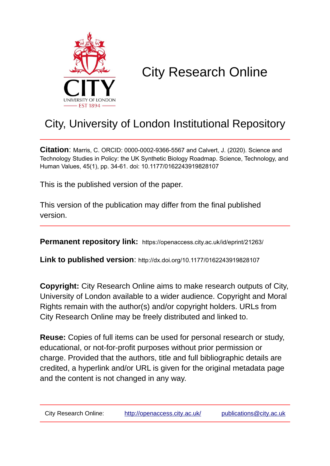

# City Research Online

# City, University of London Institutional Repository

**Citation**: Marris, C. ORCID: 0000-0002-9366-5567 and Calvert, J. (2020). Science and Technology Studies in Policy: the UK Synthetic Biology Roadmap. Science, Technology, and Human Values, 45(1), pp. 34-61. doi: 10.1177/0162243919828107

This is the published version of the paper.

This version of the publication may differ from the final published version.

**Permanent repository link:** https://openaccess.city.ac.uk/id/eprint/21263/

**Link to published version**: http://dx.doi.org/10.1177/0162243919828107

**Copyright:** City Research Online aims to make research outputs of City, University of London available to a wider audience. Copyright and Moral Rights remain with the author(s) and/or copyright holders. URLs from City Research Online may be freely distributed and linked to.

**Reuse:** Copies of full items can be used for personal research or study, educational, or not-for-profit purposes without prior permission or charge. Provided that the authors, title and full bibliographic details are credited, a hyperlink and/or URL is given for the original metadata page and the content is not changed in any way.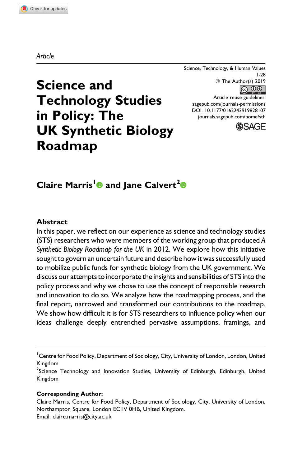Article

Science, Technology, & Human Values 1-28  $\circledcirc$  The Author(s) 2019<br> $\circledcirc$ 

Article reuse guidelines: [sagepub.com/journals-permissions](https://sagepub.com/journals-permissions) [DOI: 10.1177/0162243919828107](https://doi.org/10.1177/0162243919828107) [journals.sagepub.com/home/sth](http://journals.sagepub.com/home/sth)



# Science and Technology Studies in Policy: The UK Synthetic Biology Roadmap

Claire Marris<sup>[1](https://orcid.org/0000-0002-9366-5567)</sup> and Jane Calvert<sup>[2](https://orcid.org/0000-0001-7204-9805)</sup><sup>®</sup>

#### **Abstract**

In this paper, we reflect on our experience as science and technology studies (STS) researchers who were members of the working group that produced A Synthetic Biology Roadmap for the UK in 2012. We explore how this initiative sought to govern an uncertain future and describe how it was successfully used to mobilize public funds for synthetic biology from the UK government. We discuss our attempts to incorporate the insights and sensibilities of STS into the policy process and why we chose to use the concept of responsible research and innovation to do so. We analyze how the roadmapping process, and the final report, narrowed and transformed our contributions to the roadmap. We show how difficult it is for STS researchers to influence policy when our ideas challenge deeply entrenched pervasive assumptions, framings, and

#### Corresponding Author:

Claire Marris, Centre for Food Policy, Department of Sociology, City, University of London, Northampton Square, London EC1V 0HB, United Kingdom. Email: [claire.marris@city.ac.uk](mailto:claire.marris@city.ac.uk)

<sup>&</sup>lt;sup>1</sup> Centre for Food Policy, Department of Sociology, City, University of London, London, United Kingdom

<sup>&</sup>lt;sup>2</sup>Science Technology and Innovation Studies, University of Edinburgh, Edinburgh, United Kingdom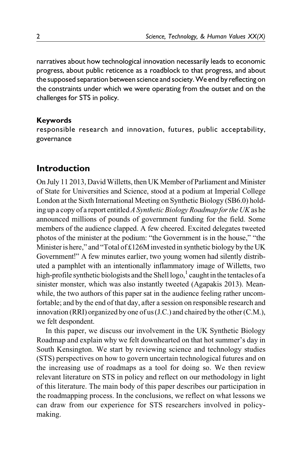narratives about how technological innovation necessarily leads to economic progress, about public reticence as a roadblock to that progress, and about the supposed separation between science and society.We end by reflecting on the constraints under which we were operating from the outset and on the challenges for STS in policy.

#### Keywords

responsible research and innovation, futures, public acceptability, governance

### Introduction

On July 11 2013, David Willetts, then UK Member of Parliament and Minister of State for Universities and Science, stood at a podium at Imperial College London at the Sixth International Meeting on Synthetic Biology (SB6.0) holding up a copy of a report entitled  $A$  Synthetic Biology Roadmap for the UK as he announced millions of pounds of government funding for the field. Some members of the audience clapped. A few cheered. Excited delegates tweeted photos of the minister at the podium: "the Government is in the house," "the Minister is here," and "Total of £126M invested in synthetic biology by the UK Government!" A few minutes earlier, two young women had silently distributed a pamphlet with an intentionally inflammatory image of Willetts, two high-profile synthetic biologists and the Shelllogo,<sup>1</sup> caught in the tentacles of a sinister monster, which was also instantly tweeted (Agapakis 2013). Meanwhile, the two authors of this paper sat in the audience feeling rather uncomfortable; and by the end of that day, after a session on responsible research and innovation (RRI) organized by one of us (J.C.) and chaired by the other (C.M.), we felt despondent.

In this paper, we discuss our involvement in the UK Synthetic Biology Roadmap and explain why we felt downhearted on that hot summer's day in South Kensington. We start by reviewing science and technology studies (STS) perspectives on how to govern uncertain technological futures and on the increasing use of roadmaps as a tool for doing so. We then review relevant literature on STS in policy and reflect on our methodology in light of this literature. The main body of this paper describes our participation in the roadmapping process. In the conclusions, we reflect on what lessons we can draw from our experience for STS researchers involved in policymaking.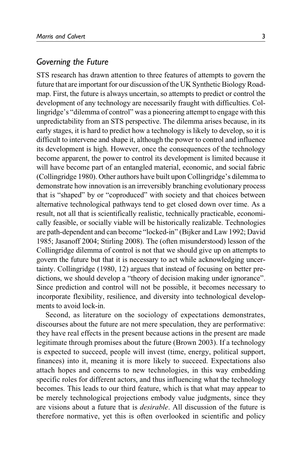# Governing the Future

STS research has drawn attention to three features of attempts to govern the future that are important for our discussion of the UK Synthetic Biology Roadmap. First, the future is always uncertain, so attempts to predict or control the development of any technology are necessarily fraught with difficulties. Collingridge's "dilemma of control" was a pioneering attempt to engage with this unpredictability from an STS perspective. The dilemma arises because, in its early stages, it is hard to predict how a technology is likely to develop, so it is difficult to intervene and shape it, although the power to control and influence its development is high. However, once the consequences of the technology become apparent, the power to control its development is limited because it will have become part of an entangled material, economic, and social fabric (Collingridge 1980). Other authors have built upon Collingridge's dilemma to demonstrate how innovation is an irreversibly branching evolutionary process that is "shaped" by or "coproduced" with society and that choices between alternative technological pathways tend to get closed down over time. As a result, not all that is scientifically realistic, technically practicable, economically feasible, or socially viable will be historically realizable. Technologies are path-dependent and can become "locked-in" (Bijker and Law 1992; David 1985; Jasanoff 2004; Stirling 2008). The (often misunderstood) lesson of the Collingridge dilemma of control is not that we should give up on attempts to govern the future but that it is necessary to act while acknowledging uncertainty. Collingridge (1980, 12) argues that instead of focusing on better predictions, we should develop a "theory of decision making under ignorance". Since prediction and control will not be possible, it becomes necessary to incorporate flexibility, resilience, and diversity into technological developments to avoid lock-in.

Second, as literature on the sociology of expectations demonstrates, discourses about the future are not mere speculation, they are performative: they have real effects in the present because actions in the present are made legitimate through promises about the future (Brown 2003). If a technology is expected to succeed, people will invest (time, energy, political support, finances) into it, meaning it is more likely to succeed. Expectations also attach hopes and concerns to new technologies, in this way embedding specific roles for different actors, and thus influencing what the technology becomes. This leads to our third feature, which is that what may appear to be merely technological projections embody value judgments, since they are visions about a future that is desirable. All discussion of the future is therefore normative, yet this is often overlooked in scientific and policy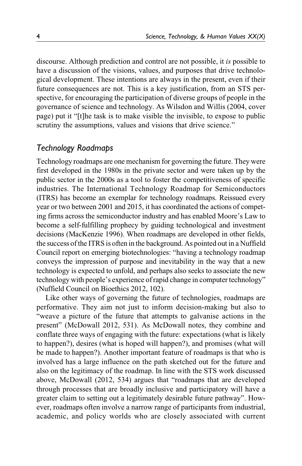discourse. Although prediction and control are not possible, it is possible to have a discussion of the visions, values, and purposes that drive technological development. These intentions are always in the present, even if their future consequences are not. This is a key justification, from an STS perspective, for encouraging the participation of diverse groups of people in the governance of science and technology. As Wilsdon and Willis (2004, cover page) put it "[t]he task is to make visible the invisible, to expose to public scrutiny the assumptions, values and visions that drive science."

# Technology Roadmaps

Technology roadmaps are one mechanism for governing the future. They were first developed in the 1980s in the private sector and were taken up by the public sector in the 2000s as a tool to foster the competitiveness of specific industries. The International Technology Roadmap for Semiconductors (ITRS) has become an exemplar for technology roadmaps. Reissued every year or two between 2001 and 2015, it has coordinated the actions of competing firms across the semiconductor industry and has enabled Moore's Law to become a self-fulfilling prophecy by guiding technological and investment decisions (MacKenzie 1996). When roadmaps are developed in other fields, the success of the ITRS is often in the background. As pointed out in a Nuffield Council report on emerging biotechnologies: "having a technology roadmap conveys the impression of purpose and inevitability in the way that a new technology is expected to unfold, and perhaps also seeks to associate the new technology with people's experience of rapid change in computer technology" (Nuffield Council on Bioethics 2012, 102).

Like other ways of governing the future of technologies, roadmaps are performative. They aim not just to inform decision-making but also to "weave a picture of the future that attempts to galvanise actions in the present" (McDowall 2012, 531). As McDowall notes, they combine and conflate three ways of engaging with the future: expectations (what is likely to happen?), desires (what is hoped will happen?), and promises (what will be made to happen?). Another important feature of roadmaps is that who is involved has a large influence on the path sketched out for the future and also on the legitimacy of the roadmap. In line with the STS work discussed above, McDowall (2012, 534) argues that "roadmaps that are developed through processes that are broadly inclusive and participatory will have a greater claim to setting out a legitimately desirable future pathway". However, roadmaps often involve a narrow range of participants from industrial, academic, and policy worlds who are closely associated with current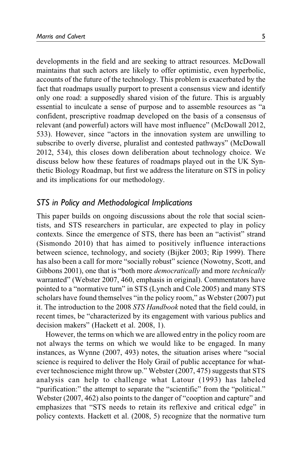developments in the field and are seeking to attract resources. McDowall maintains that such actors are likely to offer optimistic, even hyperbolic, accounts of the future of the technology. This problem is exacerbated by the fact that roadmaps usually purport to present a consensus view and identify only one road: a supposedly shared vision of the future. This is arguably essential to inculcate a sense of purpose and to assemble resources as "a confident, prescriptive roadmap developed on the basis of a consensus of relevant (and powerful) actors will have most influence" (McDowall 2012, 533). However, since "actors in the innovation system are unwilling to subscribe to overly diverse, pluralist and contested pathways" (McDowall 2012, 534), this closes down deliberation about technology choice. We discuss below how these features of roadmaps played out in the UK Synthetic Biology Roadmap, but first we address the literature on STS in policy and its implications for our methodology.

# STS in Policy and Methodological Implications

This paper builds on ongoing discussions about the role that social scientists, and STS researchers in particular, are expected to play in policy contexts. Since the emergence of STS, there has been an "activist" strand (Sismondo 2010) that has aimed to positively influence interactions between science, technology, and society (Bijker 2003; Rip 1999). There has also been a call for more "socially robust" science (Nowotny, Scott, and Gibbons 2001), one that is "both more *democratically* and more *technically* warranted" (Webster 2007, 460, emphasis in original). Commentators have pointed to a "normative turn" in STS (Lynch and Cole 2005) and many STS scholars have found themselves "in the policy room," as Webster (2007) put it. The introduction to the 2008 STS Handbook noted that the field could, in recent times, be "characterized by its engagement with various publics and decision makers" (Hackett et al. 2008, 1).

However, the terms on which we are allowed entry in the policy room are not always the terms on which we would like to be engaged. In many instances, as Wynne (2007, 493) notes, the situation arises where "social science is required to deliver the Holy Grail of public acceptance for whatever technoscience might throw up." Webster (2007, 475) suggests that STS analysis can help to challenge what Latour (1993) has labeled "purification:" the attempt to separate the "scientific" from the "political." Webster (2007, 462) also points to the danger of "cooption and capture" and emphasizes that "STS needs to retain its reflexive and critical edge" in policy contexts. Hackett et al. (2008, 5) recognize that the normative turn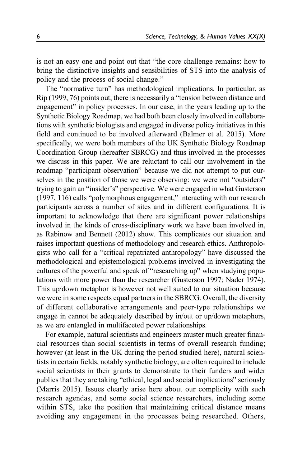is not an easy one and point out that "the core challenge remains: how to bring the distinctive insights and sensibilities of STS into the analysis of policy and the process of social change."

The "normative turn" has methodological implications. In particular, as Rip (1999, 76) points out, there is necessarily a "tension between distance and engagement" in policy processes. In our case, in the years leading up to the Synthetic Biology Roadmap, we had both been closely involved in collaborations with synthetic biologists and engaged in diverse policy initiatives in this field and continued to be involved afterward (Balmer et al. 2015). More specifically, we were both members of the UK Synthetic Biology Roadmap Coordination Group (hereafter SBRCG) and thus involved in the processes we discuss in this paper. We are reluctant to call our involvement in the roadmap "participant observation" because we did not attempt to put ourselves in the position of those we were observing: we were not "outsiders" trying to gain an "insider's" perspective. We were engaged in what Gusterson (1997, 116) calls "polymorphous engagement," interacting with our research participants across a number of sites and in different configurations. It is important to acknowledge that there are significant power relationships involved in the kinds of cross-disciplinary work we have been involved in, as Rabinow and Bennett (2012) show. This complicates our situation and raises important questions of methodology and research ethics. Anthropologists who call for a "critical repatriated anthropology" have discussed the methodological and epistemological problems involved in investigating the cultures of the powerful and speak of "researching up" when studying populations with more power than the researcher (Gusterson 1997; Nader 1974). This up/down metaphor is however not well suited to our situation because we were in some respects equal partners in the SBRCG. Overall, the diversity of different collaborative arrangements and peer-type relationships we engage in cannot be adequately described by in/out or up/down metaphors, as we are entangled in multifaceted power relationships.

For example, natural scientists and engineers muster much greater financial resources than social scientists in terms of overall research funding; however (at least in the UK during the period studied here), natural scientists in certain fields, notably synthetic biology, are often required to include social scientists in their grants to demonstrate to their funders and wider publics that they are taking "ethical, legal and social implications" seriously (Marris 2015). Issues clearly arise here about our complicity with such research agendas, and some social science researchers, including some within STS, take the position that maintaining critical distance means avoiding any engagement in the processes being researched. Others,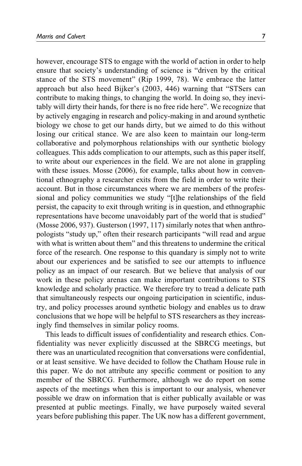however, encourage STS to engage with the world of action in order to help ensure that society's understanding of science is "driven by the critical stance of the STS movement" (Rip 1999, 78). We embrace the latter approach but also heed Bijker's (2003, 446) warning that "STSers can contribute to making things, to changing the world. In doing so, they inevitably will dirty their hands, for there is no free ride here". We recognize that by actively engaging in research and policy-making in and around synthetic biology we chose to get our hands dirty, but we aimed to do this without losing our critical stance. We are also keen to maintain our long-term collaborative and polymorphous relationships with our synthetic biology colleagues. This adds complication to our attempts, such as this paper itself, to write about our experiences in the field. We are not alone in grappling with these issues. Mosse (2006), for example, talks about how in conventional ethnography a researcher exits from the field in order to write their account. But in those circumstances where we are members of the professional and policy communities we study "[t]he relationships of the field persist, the capacity to exit through writing is in question, and ethnographic representations have become unavoidably part of the world that is studied" (Mosse 2006, 937). Gusterson (1997, 117) similarly notes that when anthropologists "study up," often their research participants "will read and argue with what is written about them" and this threatens to undermine the critical force of the research. One response to this quandary is simply not to write about our experiences and be satisfied to see our attempts to influence policy as an impact of our research. But we believe that analysis of our work in these policy arenas can make important contributions to STS knowledge and scholarly practice. We therefore try to tread a delicate path that simultaneously respects our ongoing participation in scientific, industry, and policy processes around synthetic biology and enables us to draw conclusions that we hope will be helpful to STS researchers as they increasingly find themselves in similar policy rooms.

This leads to difficult issues of confidentiality and research ethics. Confidentiality was never explicitly discussed at the SBRCG meetings, but there was an unarticulated recognition that conversations were confidential, or at least sensitive. We have decided to follow the Chatham House rule in this paper. We do not attribute any specific comment or position to any member of the SBRCG. Furthermore, although we do report on some aspects of the meetings when this is important to our analysis, whenever possible we draw on information that is either publically available or was presented at public meetings. Finally, we have purposely waited several years before publishing this paper. The UK now has a different government,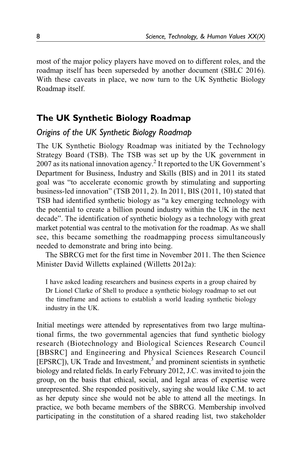most of the major policy players have moved on to different roles, and the roadmap itself has been superseded by another document (SBLC 2016). With these caveats in place, we now turn to the UK Synthetic Biology Roadmap itself.

# The UK Synthetic Biology Roadmap

## Origins of the UK Synthetic Biology Roadmap

The UK Synthetic Biology Roadmap was initiated by the Technology Strategy Board (TSB). The TSB was set up by the UK government in 2007 as its national innovation agency.<sup>2</sup> It reported to the UK Government's Department for Business, Industry and Skills (BIS) and in 2011 its stated goal was "to accelerate economic growth by stimulating and supporting business-led innovation" (TSB 2011, 2). In 2011, BIS (2011, 10) stated that TSB had identified synthetic biology as "a key emerging technology with the potential to create a billion pound industry within the UK in the next decade". The identification of synthetic biology as a technology with great market potential was central to the motivation for the roadmap. As we shall see, this became something the roadmapping process simultaneously needed to demonstrate and bring into being.

The SBRCG met for the first time in November 2011. The then Science Minister David Willetts explained (Willetts 2012a):

I have asked leading researchers and business experts in a group chaired by Dr Lionel Clarke of Shell to produce a synthetic biology roadmap to set out the timeframe and actions to establish a world leading synthetic biology industry in the UK.

Initial meetings were attended by representatives from two large multinational firms, the two governmental agencies that fund synthetic biology research (Biotechnology and Biological Sciences Research Council [BBSRC] and Engineering and Physical Sciences Research Council [EPSRC]), UK Trade and Investment,<sup>3</sup> and prominent scientists in synthetic biology and related fields. In early February 2012, J.C. was invited to join the group, on the basis that ethical, social, and legal areas of expertise were unrepresented. She responded positively, saying she would like C.M. to act as her deputy since she would not be able to attend all the meetings. In practice, we both became members of the SBRCG. Membership involved participating in the constitution of a shared reading list, two stakeholder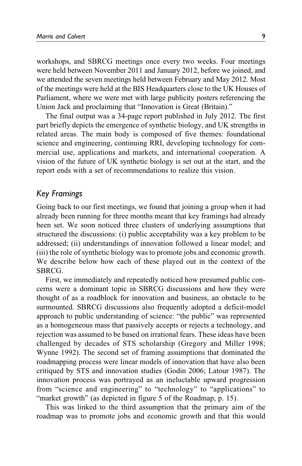workshops, and SBRCG meetings once every two weeks. Four meetings were held between November 2011 and January 2012, before we joined, and we attended the seven meetings held between February and May 2012. Most of the meetings were held at the BIS Headquarters close to the UK Houses of Parliament, where we were met with large publicity posters referencing the Union Jack and proclaiming that "Innovation is Great (Britain)."

The final output was a 34-page report published in July 2012. The first part briefly depicts the emergence of synthetic biology, and UK strengths in related areas. The main body is composed of five themes: foundational science and engineering, continuing RRI, developing technology for commercial use, applications and markets, and international cooperation. A vision of the future of UK synthetic biology is set out at the start, and the report ends with a set of recommendations to realize this vision.

#### Key Framings

Going back to our first meetings, we found that joining a group when it had already been running for three months meant that key framings had already been set. We soon noticed three clusters of underlying assumptions that structured the discussions: (i) public acceptability was a key problem to be addressed; (ii) understandings of innovation followed a linear model; and (iii) the role of synthetic biology was to promote jobs and economic growth. We describe below how each of these played out in the context of the SBRCG.

First, we immediately and repeatedly noticed how presumed public concerns were a dominant topic in SBRCG discussions and how they were thought of as a roadblock for innovation and business, an obstacle to be surmounted. SBRCG discussions also frequently adopted a deficit-model approach to public understanding of science: "the public" was represented as a homogeneous mass that passively accepts or rejects a technology, and rejection was assumed to be based on irrational fears. These ideas have been challenged by decades of STS scholarship (Gregory and Miller 1998; Wynne 1992). The second set of framing assumptions that dominated the roadmapping process were linear models of innovation that have also been critiqued by STS and innovation studies (Godin 2006; Latour 1987). The innovation process was portrayed as an ineluctable upward progression from "science and engineering" to "technology" to "applications" to "market growth" (as depicted in figure 5 of the Roadmap, p. 15).

This was linked to the third assumption that the primary aim of the roadmap was to promote jobs and economic growth and that this would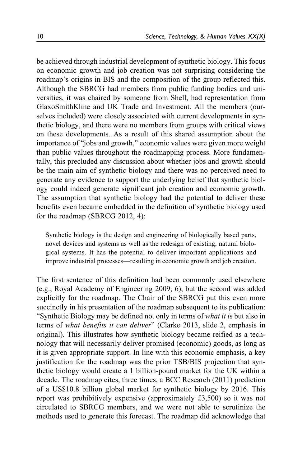be achieved through industrial development of synthetic biology. This focus on economic growth and job creation was not surprising considering the roadmap's origins in BIS and the composition of the group reflected this. Although the SBRCG had members from public funding bodies and universities, it was chaired by someone from Shell, had representation from GlaxoSmithKline and UK Trade and Investment. All the members (ourselves included) were closely associated with current developments in synthetic biology, and there were no members from groups with critical views on these developments. As a result of this shared assumption about the importance of "jobs and growth," economic values were given more weight than public values throughout the roadmapping process. More fundamentally, this precluded any discussion about whether jobs and growth should be the main aim of synthetic biology and there was no perceived need to generate any evidence to support the underlying belief that synthetic biology could indeed generate significant job creation and economic growth. The assumption that synthetic biology had the potential to deliver these benefits even became embedded in the definition of synthetic biology used for the roadmap (SBRCG 2012, 4):

Synthetic biology is the design and engineering of biologically based parts, novel devices and systems as well as the redesign of existing, natural biological systems. It has the potential to deliver important applications and improve industrial processes—resulting in economic growth and job creation.

The first sentence of this definition had been commonly used elsewhere (e.g., Royal Academy of Engineering 2009, 6), but the second was added explicitly for the roadmap. The Chair of the SBRCG put this even more succinctly in his presentation of the roadmap subsequent to its publication: "Synthetic Biology may be defined not only in terms of what it is but also in terms of what benefits it can deliver" (Clarke 2013, slide 2, emphasis in original). This illustrates how synthetic biology became reified as a technology that will necessarily deliver promised (economic) goods, as long as it is given appropriate support. In line with this economic emphasis, a key justification for the roadmap was the prior TSB/BIS projection that synthetic biology would create a 1 billion-pound market for the UK within a decade. The roadmap cites, three times, a BCC Research (2011) prediction of a US\$10.8 billion global market for synthetic biology by 2016. This report was prohibitively expensive (approximately £3,500) so it was not circulated to SBRCG members, and we were not able to scrutinize the methods used to generate this forecast. The roadmap did acknowledge that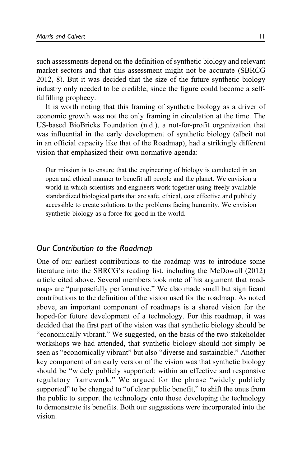such assessments depend on the definition of synthetic biology and relevant market sectors and that this assessment might not be accurate (SBRCG 2012, 8). But it was decided that the size of the future synthetic biology industry only needed to be credible, since the figure could become a selffulfilling prophecy.

It is worth noting that this framing of synthetic biology as a driver of economic growth was not the only framing in circulation at the time. The US-based BioBricks Foundation (n.d.), a not-for-profit organization that was influential in the early development of synthetic biology (albeit not in an official capacity like that of the Roadmap), had a strikingly different vision that emphasized their own normative agenda:

Our mission is to ensure that the engineering of biology is conducted in an open and ethical manner to benefit all people and the planet. We envision a world in which scientists and engineers work together using freely available standardized biological parts that are safe, ethical, cost effective and publicly accessible to create solutions to the problems facing humanity. We envision synthetic biology as a force for good in the world.

#### Our Contribution to the Roadmap

One of our earliest contributions to the roadmap was to introduce some literature into the SBRCG's reading list, including the McDowall (2012) article cited above. Several members took note of his argument that roadmaps are "purposefully performative." We also made small but significant contributions to the definition of the vision used for the roadmap. As noted above, an important component of roadmaps is a shared vision for the hoped-for future development of a technology. For this roadmap, it was decided that the first part of the vision was that synthetic biology should be "economically vibrant." We suggested, on the basis of the two stakeholder workshops we had attended, that synthetic biology should not simply be seen as "economically vibrant" but also "diverse and sustainable." Another key component of an early version of the vision was that synthetic biology should be "widely publicly supported: within an effective and responsive regulatory framework." We argued for the phrase "widely publicly supported" to be changed to "of clear public benefit," to shift the onus from the public to support the technology onto those developing the technology to demonstrate its benefits. Both our suggestions were incorporated into the vision.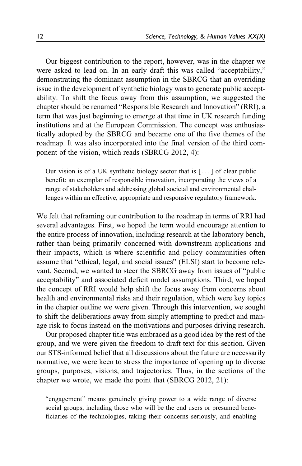Our biggest contribution to the report, however, was in the chapter we were asked to lead on. In an early draft this was called "acceptability," demonstrating the dominant assumption in the SBRCG that an overriding issue in the development of synthetic biology was to generate public acceptability. To shift the focus away from this assumption, we suggested the chapter should be renamed "Responsible Research and Innovation" (RRI), a term that was just beginning to emerge at that time in UK research funding institutions and at the European Commission. The concept was enthusiastically adopted by the SBRCG and became one of the five themes of the roadmap. It was also incorporated into the final version of the third component of the vision, which reads (SBRCG 2012, 4):

Our vision is of a UK synthetic biology sector that is [ ...] of clear public benefit: an exemplar of responsible innovation, incorporating the views of a range of stakeholders and addressing global societal and environmental challenges within an effective, appropriate and responsive regulatory framework.

We felt that reframing our contribution to the roadmap in terms of RRI had several advantages. First, we hoped the term would encourage attention to the entire process of innovation, including research at the laboratory bench, rather than being primarily concerned with downstream applications and their impacts, which is where scientific and policy communities often assume that "ethical, legal, and social issues" (ELSI) start to become relevant. Second, we wanted to steer the SBRCG away from issues of "public acceptability" and associated deficit model assumptions. Third, we hoped the concept of RRI would help shift the focus away from concerns about health and environmental risks and their regulation, which were key topics in the chapter outline we were given. Through this intervention, we sought to shift the deliberations away from simply attempting to predict and manage risk to focus instead on the motivations and purposes driving research.

Our proposed chapter title was embraced as a good idea by the rest of the group, and we were given the freedom to draft text for this section. Given our STS-informed belief that all discussions about the future are necessarily normative, we were keen to stress the importance of opening up to diverse groups, purposes, visions, and trajectories. Thus, in the sections of the chapter we wrote, we made the point that (SBRCG 2012, 21):

"engagement" means genuinely giving power to a wide range of diverse social groups, including those who will be the end users or presumed beneficiaries of the technologies, taking their concerns seriously, and enabling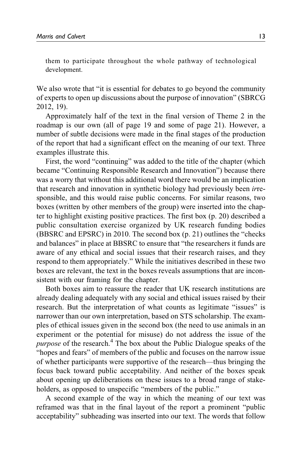them to participate throughout the whole pathway of technological development.

We also wrote that "it is essential for debates to go beyond the community of experts to open up discussions about the purpose of innovation" (SBRCG 2012, 19).

Approximately half of the text in the final version of Theme 2 in the roadmap is our own (all of page 19 and some of page 21). However, a number of subtle decisions were made in the final stages of the production of the report that had a significant effect on the meaning of our text. Three examples illustrate this.

First, the word "continuing" was added to the title of the chapter (which became "Continuing Responsible Research and Innovation") because there was a worry that without this additional word there would be an implication that research and innovation in synthetic biology had previously been irresponsible, and this would raise public concerns. For similar reasons, two boxes (written by other members of the group) were inserted into the chapter to highlight existing positive practices. The first box (p. 20) described a public consultation exercise organized by UK research funding bodies (BBSRC and EPSRC) in 2010. The second box (p. 21) outlines the "checks and balances" in place at BBSRC to ensure that "the researchers it funds are aware of any ethical and social issues that their research raises, and they respond to them appropriately." While the initiatives described in these two boxes are relevant, the text in the boxes reveals assumptions that are inconsistent with our framing for the chapter.

Both boxes aim to reassure the reader that UK research institutions are already dealing adequately with any social and ethical issues raised by their research. But the interpretation of what counts as legitimate "issues" is narrower than our own interpretation, based on STS scholarship. The examples of ethical issues given in the second box (the need to use animals in an experiment or the potential for misuse) do not address the issue of the purpose of the research.<sup>4</sup> The box about the Public Dialogue speaks of the "hopes and fears" of members of the public and focuses on the narrow issue of whether participants were supportive of the research—thus bringing the focus back toward public acceptability. And neither of the boxes speak about opening up deliberations on these issues to a broad range of stakeholders, as opposed to unspecific "members of the public."

A second example of the way in which the meaning of our text was reframed was that in the final layout of the report a prominent "public acceptability" subheading was inserted into our text. The words that follow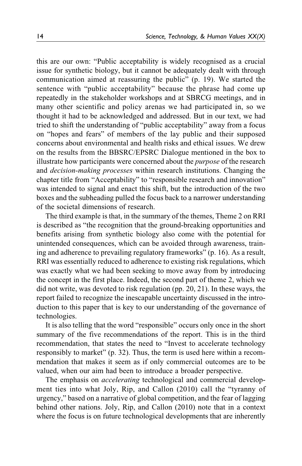this are our own: "Public acceptability is widely recognised as a crucial issue for synthetic biology, but it cannot be adequately dealt with through communication aimed at reassuring the public" (p. 19). We started the sentence with "public acceptability" because the phrase had come up repeatedly in the stakeholder workshops and at SBRCG meetings, and in many other scientific and policy arenas we had participated in, so we thought it had to be acknowledged and addressed. But in our text, we had tried to shift the understanding of "public acceptability" away from a focus on "hopes and fears" of members of the lay public and their supposed concerns about environmental and health risks and ethical issues. We drew on the results from the BBSRC/EPSRC Dialogue mentioned in the box to illustrate how participants were concerned about the purpose of the research and decision-making processes within research institutions. Changing the chapter title from "Acceptability" to "responsible research and innovation" was intended to signal and enact this shift, but the introduction of the two boxes and the subheading pulled the focus back to a narrower understanding of the societal dimensions of research.

The third example is that, in the summary of the themes, Theme 2 on RRI is described as "the recognition that the ground-breaking opportunities and benefits arising from synthetic biology also come with the potential for unintended consequences, which can be avoided through awareness, training and adherence to prevailing regulatory frameworks" (p. 16). As a result, RRI was essentially reduced to adherence to existing risk regulations, which was exactly what we had been seeking to move away from by introducing the concept in the first place. Indeed, the second part of theme 2, which we did not write, was devoted to risk regulation (pp. 20, 21). In these ways, the report failed to recognize the inescapable uncertainty discussed in the introduction to this paper that is key to our understanding of the governance of technologies.

It is also telling that the word "responsible" occurs only once in the short summary of the five recommendations of the report. This is in the third recommendation, that states the need to "Invest to accelerate technology responsibly to market" (p. 32). Thus, the term is used here within a recommendation that makes it seem as if only commercial outcomes are to be valued, when our aim had been to introduce a broader perspective.

The emphasis on *accelerating* technological and commercial development ties into what Joly, Rip, and Callon (2010) call the "tyranny of urgency," based on a narrative of global competition, and the fear of lagging behind other nations. Joly, Rip, and Callon (2010) note that in a context where the focus is on future technological developments that are inherently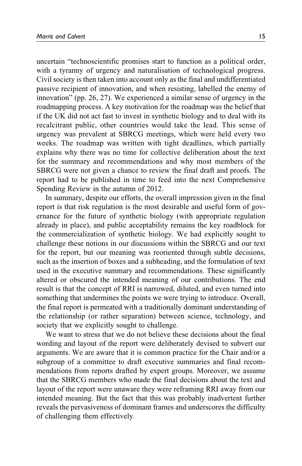uncertain "technoscientific promises start to function as a political order, with a tyranny of urgency and naturalisation of technological progress. Civil society is then taken into account only as the final and undifferentiated passive recipient of innovation, and when resisting, labelled the enemy of innovation" (pp. 26, 27). We experienced a similar sense of urgency in the roadmapping process. A key motivation for the roadmap was the belief that if the UK did not act fast to invest in synthetic biology and to deal with its recalcitrant public, other countries would take the lead. This sense of urgency was prevalent at SBRCG meetings, which were held every two weeks. The roadmap was written with tight deadlines, which partially explains why there was no time for collective deliberation about the text for the summary and recommendations and why most members of the SBRCG were not given a chance to review the final draft and proofs. The report had to be published in time to feed into the next Comprehensive Spending Review in the autumn of 2012.

In summary, despite our efforts, the overall impression given in the final report is that risk regulation is the most desirable and useful form of governance for the future of synthetic biology (with appropriate regulation already in place), and public acceptability remains the key roadblock for the commercialization of synthetic biology. We had explicitly sought to challenge these notions in our discussions within the SBRCG and our text for the report, but our meaning was reoriented through subtle decisions, such as the insertion of boxes and a subheading, and the formulation of text used in the executive summary and recommendations. These significantly altered or obscured the intended meaning of our contributions. The end result is that the concept of RRI is narrowed, diluted, and even turned into something that undermines the points we were trying to introduce. Overall, the final report is permeated with a traditionally dominant understanding of the relationship (or rather separation) between science, technology, and society that we explicitly sought to challenge.

We want to stress that we do not believe these decisions about the final wording and layout of the report were deliberately devised to subvert our arguments. We are aware that it is common practice for the Chair and/or a subgroup of a committee to draft executive summaries and final recommendations from reports drafted by expert groups. Moreover, we assume that the SBRCG members who made the final decisions about the text and layout of the report were unaware they were reframing RRI away from our intended meaning. But the fact that this was probably inadvertent further reveals the pervasiveness of dominant frames and underscores the difficulty of challenging them effectively.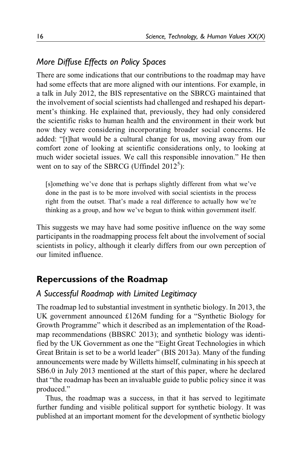# More Diffuse Effects on Policy Spaces

There are some indications that our contributions to the roadmap may have had some effects that are more aligned with our intentions. For example, in a talk in July 2012, the BIS representative on the SBRCG maintained that the involvement of social scientists had challenged and reshaped his department's thinking. He explained that, previously, they had only considered the scientific risks to human health and the environment in their work but now they were considering incorporating broader social concerns. He added: "[t]hat would be a cultural change for us, moving away from our comfort zone of looking at scientific considerations only, to looking at much wider societal issues. We call this responsible innovation." He then went on to say of the SBRCG (Uffindel  $2012^5$ ):

[s]omething we've done that is perhaps slightly different from what we've done in the past is to be more involved with social scientists in the process right from the outset. That's made a real difference to actually how we're thinking as a group, and how we've begun to think within government itself.

This suggests we may have had some positive influence on the way some participants in the roadmapping process felt about the involvement of social scientists in policy, although it clearly differs from our own perception of our limited influence.

# Repercussions of the Roadmap

# A Successful Roadmap with Limited Legitimacy

The roadmap led to substantial investment in synthetic biology. In 2013, the UK government announced £126M funding for a "Synthetic Biology for Growth Programme" which it described as an implementation of the Roadmap recommendations (BBSRC 2013); and synthetic biology was identified by the UK Government as one the "Eight Great Technologies in which Great Britain is set to be a world leader" (BIS 2013a). Many of the funding announcements were made by Willetts himself, culminating in his speech at SB6.0 in July 2013 mentioned at the start of this paper, where he declared that "the roadmap has been an invaluable guide to public policy since it was produced."

Thus, the roadmap was a success, in that it has served to legitimate further funding and visible political support for synthetic biology. It was published at an important moment for the development of synthetic biology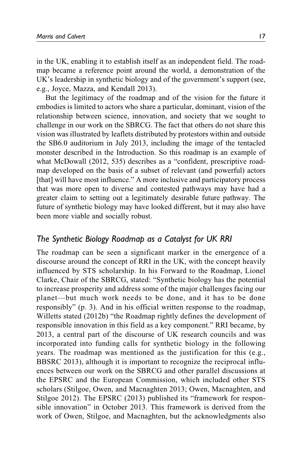in the UK, enabling it to establish itself as an independent field. The roadmap became a reference point around the world, a demonstration of the UK's leadership in synthetic biology and of the government's support (see, e.g., Joyce, Mazza, and Kendall 2013).

But the legitimacy of the roadmap and of the vision for the future it embodies is limited to actors who share a particular, dominant, vision of the relationship between science, innovation, and society that we sought to challenge in our work on the SBRCG. The fact that others do not share this vision was illustrated by leaflets distributed by protestors within and outside the SB6.0 auditorium in July 2013, including the image of the tentacled monster described in the Introduction. So this roadmap is an example of what McDowall (2012, 535) describes as a "confident, prescriptive roadmap developed on the basis of a subset of relevant (and powerful) actors [that] will have most influence." A more inclusive and participatory process that was more open to diverse and contested pathways may have had a greater claim to setting out a legitimately desirable future pathway. The future of synthetic biology may have looked different, but it may also have been more viable and socially robust.

#### The Synthetic Biology Roadmap as a Catalyst for UK RRI

The roadmap can be seen a significant marker in the emergence of a discourse around the concept of RRI in the UK, with the concept heavily influenced by STS scholarship. In his Forward to the Roadmap, Lionel Clarke, Chair of the SBRCG, stated: "Synthetic biology has the potential to increase prosperity and address some of the major challenges facing our planet—but much work needs to be done, and it has to be done responsibly" (p. 3). And in his official written response to the roadmap, Willetts stated (2012b) "the Roadmap rightly defines the development of responsible innovation in this field as a key component." RRI became, by 2013, a central part of the discourse of UK research councils and was incorporated into funding calls for synthetic biology in the following years. The roadmap was mentioned as the justification for this (e.g., BBSRC 2013), although it is important to recognize the reciprocal influences between our work on the SBRCG and other parallel discussions at the EPSRC and the European Commission, which included other STS scholars (Stilgoe, Owen, and Macnaghten 2013; Owen, Macnaghten, and Stilgoe 2012). The EPSRC (2013) published its "framework for responsible innovation" in October 2013. This framework is derived from the work of Owen, Stilgoe, and Macnaghten, but the acknowledgments also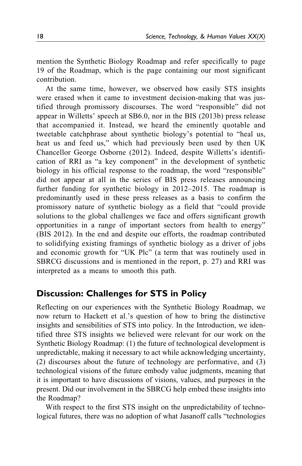mention the Synthetic Biology Roadmap and refer specifically to page 19 of the Roadmap, which is the page containing our most significant contribution.

At the same time, however, we observed how easily STS insights were erased when it came to investment decision-making that was justified through promissory discourses. The word "responsible" did not appear in Willetts' speech at SB6.0, nor in the BIS (2013b) press release that accompanied it. Instead, we heard the eminently quotable and tweetable catchphrase about synthetic biology's potential to "heal us, heat us and feed us," which had previously been used by then UK Chancellor George Osborne (2012). Indeed, despite Willetts's identification of RRI as "a key component" in the development of synthetic biology in his official response to the roadmap, the word "responsible" did not appear at all in the series of BIS press releases announcing further funding for synthetic biology in 2012–2015. The roadmap is predominantly used in these press releases as a basis to confirm the promissory nature of synthetic biology as a field that "could provide solutions to the global challenges we face and offers significant growth opportunities in a range of important sectors from health to energy" (BIS 2012). In the end and despite our efforts, the roadmap contributed to solidifying existing framings of synthetic biology as a driver of jobs and economic growth for "UK Plc" (a term that was routinely used in SBRCG discussions and is mentioned in the report, p. 27) and RRI was interpreted as a means to smooth this path.

### Discussion: Challenges for STS in Policy

Reflecting on our experiences with the Synthetic Biology Roadmap, we now return to Hackett et al.'s question of how to bring the distinctive insights and sensibilities of STS into policy. In the Introduction, we identified three STS insights we believed were relevant for our work on the Synthetic Biology Roadmap: (1) the future of technological development is unpredictable, making it necessary to act while acknowledging uncertainty, (2) discourses about the future of technology are performative, and (3) technological visions of the future embody value judgments, meaning that it is important to have discussions of visions, values, and purposes in the present. Did our involvement in the SBRCG help embed these insights into the Roadmap?

With respect to the first STS insight on the unpredictability of technological futures, there was no adoption of what Jasanoff calls "technologies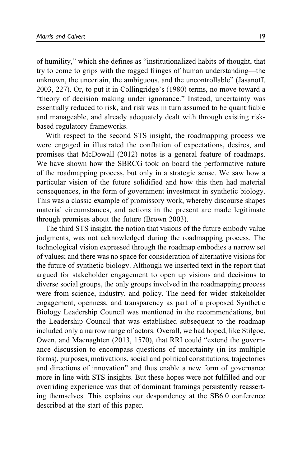of humility," which she defines as "institutionalized habits of thought, that try to come to grips with the ragged fringes of human understanding—the unknown, the uncertain, the ambiguous, and the uncontrollable" (Jasanoff, 2003, 227). Or, to put it in Collingridge's (1980) terms, no move toward a "theory of decision making under ignorance." Instead, uncertainty was essentially reduced to risk, and risk was in turn assumed to be quantifiable and manageable, and already adequately dealt with through existing riskbased regulatory frameworks.

With respect to the second STS insight, the roadmapping process we were engaged in illustrated the conflation of expectations, desires, and promises that McDowall (2012) notes is a general feature of roadmaps. We have shown how the SBRCG took on board the performative nature of the roadmapping process, but only in a strategic sense. We saw how a particular vision of the future solidified and how this then had material consequences, in the form of government investment in synthetic biology. This was a classic example of promissory work, whereby discourse shapes material circumstances, and actions in the present are made legitimate through promises about the future (Brown 2003).

The third STS insight, the notion that visions of the future embody value judgments, was not acknowledged during the roadmapping process. The technological vision expressed through the roadmap embodies a narrow set of values; and there was no space for consideration of alternative visions for the future of synthetic biology. Although we inserted text in the report that argued for stakeholder engagement to open up visions and decisions to diverse social groups, the only groups involved in the roadmapping process were from science, industry, and policy. The need for wider stakeholder engagement, openness, and transparency as part of a proposed Synthetic Biology Leadership Council was mentioned in the recommendations, but the Leadership Council that was established subsequent to the roadmap included only a narrow range of actors. Overall, we had hoped, like Stilgoe, Owen, and Macnaghten (2013, 1570), that RRI could "extend the governance discussion to encompass questions of uncertainty (in its multiple forms), purposes, motivations, social and political constitutions, trajectories and directions of innovation" and thus enable a new form of governance more in line with STS insights. But these hopes were not fulfilled and our overriding experience was that of dominant framings persistently reasserting themselves. This explains our despondency at the SB6.0 conference described at the start of this paper.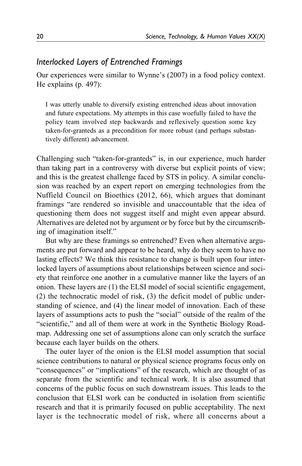### Interlocked Layers of Entrenched Framings

Our experiences were similar to Wynne's (2007) in a food policy context. He explains (p. 497):

I was utterly unable to diversify existing entrenched ideas about innovation and future expectations. My attempts in this case woefully failed to have the policy team involved step backwards and reflexively question some key taken-for-granteds as a precondition for more robust (and perhaps substantively different) advancement.

Challenging such "taken-for-granteds" is, in our experience, much harder than taking part in a controversy with diverse but explicit points of view; and this is the greatest challenge faced by STS in policy. A similar conclusion was reached by an expert report on emerging technologies from the Nuffield Council on Bioethics (2012, 66), which argues that dominant framings "are rendered so invisible and unaccountable that the idea of questioning them does not suggest itself and might even appear absurd. Alternatives are deleted not by argument or by force but by the circumscribing of imagination itself."

But why are these framings so entrenched? Even when alternative arguments are put forward and appear to be heard, why do they seem to have no lasting effects? We think this resistance to change is built upon four interlocked layers of assumptions about relationships between science and society that reinforce one another in a cumulative manner like the layers of an onion. These layers are (1) the ELSI model of social scientific engagement, (2) the technocratic model of risk, (3) the deficit model of public understanding of science, and (4) the linear model of innovation. Each of these layers of assumptions acts to push the "social" outside of the realm of the "scientific," and all of them were at work in the Synthetic Biology Roadmap. Addressing one set of assumptions alone can only scratch the surface because each layer builds on the others.

The outer layer of the onion is the ELSI model assumption that social science contributions to natural or physical science programs focus only on "consequences" or "implications" of the research, which are thought of as separate from the scientific and technical work. It is also assumed that concerns of the public focus on such downstream issues. This leads to the conclusion that ELSI work can be conducted in isolation from scientific research and that it is primarily focused on public acceptability. The next layer is the technocratic model of risk, where all concerns about a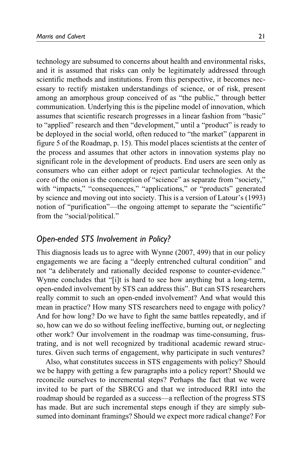technology are subsumed to concerns about health and environmental risks, and it is assumed that risks can only be legitimately addressed through scientific methods and institutions. From this perspective, it becomes necessary to rectify mistaken understandings of science, or of risk, present among an amorphous group conceived of as "the public," through better communication. Underlying this is the pipeline model of innovation, which assumes that scientific research progresses in a linear fashion from "basic" to "applied" research and then "development," until a "product" is ready to be deployed in the social world, often reduced to "the market" (apparent in figure 5 of the Roadmap, p. 15). This model places scientists at the center of the process and assumes that other actors in innovation systems play no significant role in the development of products. End users are seen only as consumers who can either adopt or reject particular technologies. At the core of the onion is the conception of "science" as separate from "society," with "impacts," "consequences," "applications," or "products" generated by science and moving out into society. This is a version of Latour's (1993) notion of "purification"—the ongoing attempt to separate the "scientific" from the "social/political."

#### Open-ended STS Involvement in Policy?

This diagnosis leads us to agree with Wynne (2007, 499) that in our policy engagements we are facing a "deeply entrenched cultural condition" and not "a deliberately and rationally decided response to counter-evidence." Wynne concludes that "[i]t is hard to see how anything but a long-term, open-ended involvement by STS can address this". But can STS researchers really commit to such an open-ended involvement? And what would this mean in practice? How many STS researchers need to engage with policy? And for how long? Do we have to fight the same battles repeatedly, and if so, how can we do so without feeling ineffective, burning out, or neglecting other work? Our involvement in the roadmap was time-consuming, frustrating, and is not well recognized by traditional academic reward structures. Given such terms of engagement, why participate in such ventures?

Also, what constitutes success in STS engagements with policy? Should we be happy with getting a few paragraphs into a policy report? Should we reconcile ourselves to incremental steps? Perhaps the fact that we were invited to be part of the SBRCG and that we introduced RRI into the roadmap should be regarded as a success—a reflection of the progress STS has made. But are such incremental steps enough if they are simply subsumed into dominant framings? Should we expect more radical change? For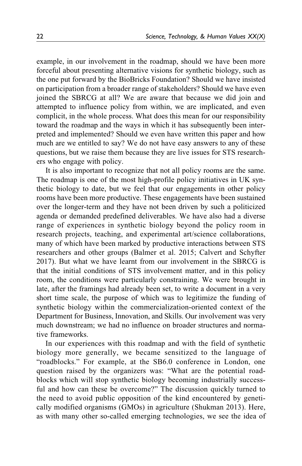example, in our involvement in the roadmap, should we have been more forceful about presenting alternative visions for synthetic biology, such as the one put forward by the BioBricks Foundation? Should we have insisted on participation from a broader range of stakeholders? Should we have even joined the SBRCG at all? We are aware that because we did join and attempted to influence policy from within, we are implicated, and even complicit, in the whole process. What does this mean for our responsibility toward the roadmap and the ways in which it has subsequently been interpreted and implemented? Should we even have written this paper and how much are we entitled to say? We do not have easy answers to any of these questions, but we raise them because they are live issues for STS researchers who engage with policy.

It is also important to recognize that not all policy rooms are the same. The roadmap is one of the most high-profile policy initiatives in UK synthetic biology to date, but we feel that our engagements in other policy rooms have been more productive. These engagements have been sustained over the longer-term and they have not been driven by such a politicized agenda or demanded predefined deliverables. We have also had a diverse range of experiences in synthetic biology beyond the policy room in research projects, teaching, and experimental art/science collaborations, many of which have been marked by productive interactions between STS researchers and other groups (Balmer et al. 2015; Calvert and Schyfter 2017). But what we have learnt from our involvement in the SBRCG is that the initial conditions of STS involvement matter, and in this policy room, the conditions were particularly constraining. We were brought in late, after the framings had already been set, to write a document in a very short time scale, the purpose of which was to legitimize the funding of synthetic biology within the commercialization-oriented context of the Department for Business, Innovation, and Skills. Our involvement was very much downstream; we had no influence on broader structures and normative frameworks.

In our experiences with this roadmap and with the field of synthetic biology more generally, we became sensitized to the language of "roadblocks." For example, at the SB6.0 conference in London, one question raised by the organizers was: "What are the potential roadblocks which will stop synthetic biology becoming industrially successful and how can these be overcome?" The discussion quickly turned to the need to avoid public opposition of the kind encountered by genetically modified organisms (GMOs) in agriculture (Shukman 2013). Here, as with many other so-called emerging technologies, we see the idea of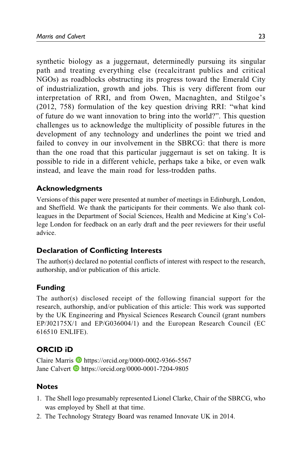synthetic biology as a juggernaut, determinedly pursuing its singular path and treating everything else (recalcitrant publics and critical NGOs) as roadblocks obstructing its progress toward the Emerald City of industrialization, growth and jobs. This is very different from our interpretation of RRI, and from Owen, Macnaghten, and Stilgoe's (2012, 758) formulation of the key question driving RRI: "what kind of future do we want innovation to bring into the world?". This question challenges us to acknowledge the multiplicity of possible futures in the development of any technology and underlines the point we tried and failed to convey in our involvement in the SBRCG: that there is more than the one road that this particular juggernaut is set on taking. It is possible to ride in a different vehicle, perhaps take a bike, or even walk instead, and leave the main road for less-trodden paths.

#### Acknowledgments

Versions of this paper were presented at number of meetings in Edinburgh, London, and Sheffield. We thank the participants for their comments. We also thank colleagues in the Department of Social Sciences, Health and Medicine at King's College London for feedback on an early draft and the peer reviewers for their useful advice.

#### Declaration of Conflicting Interests

The author(s) declared no potential conflicts of interest with respect to the research, authorship, and/or publication of this article.

#### Funding

The author(s) disclosed receipt of the following financial support for the research, authorship, and/or publication of this article: This work was supported by the UK Engineering and Physical Sciences Research Council (grant numbers EP/J02175X/1 and EP/G036004/1) and the European Research Council (EC 616510 ENLIFE).

#### ORCID iD

Claire Marris  $\blacksquare$  <https://orcid.org/0000-0002-9366-5567> Jane Calvert **<https://orcid.org/0000-0001-7204-9805>** 

#### **Notes**

- 1. The Shell logo presumably represented Lionel Clarke, Chair of the SBRCG, who was employed by Shell at that time.
- 2. The Technology Strategy Board was renamed Innovate UK in 2014.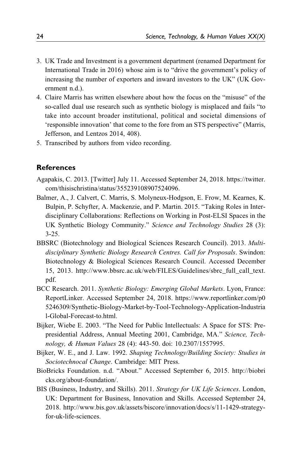- 3. UK Trade and Investment is a government department (renamed Department for International Trade in 2016) whose aim is to "drive the government's policy of increasing the number of exporters and inward investors to the UK" (UK Government n.d.).
- 4. Claire Marris has written elsewhere about how the focus on the "misuse" of the so-called dual use research such as synthetic biology is misplaced and fails "to take into account broader institutional, political and societal dimensions of 'responsible innovation' that come to the fore from an STS perspective" (Marris, Jefferson, and Lentzos 2014, 408).
- 5. Transcribed by authors from video recording.

#### References

- Agapakis, C. 2013. [Twitter] July 11. Accessed September 24, 2018. [https://twitter.](https://twitter.com/thisischristina/status/355239108907524096) [com/thisischristina/status/355239108907524096.](https://twitter.com/thisischristina/status/355239108907524096)
- Balmer, A., J. Calvert, C. Marris, S. Molyneux-Hodgson, E. Frow, M. Kearnes, K. Bulpin, P. Schyfter, A. Mackenzie, and P. Martin. 2015. "Taking Roles in Interdisciplinary Collaborations: Reflections on Working in Post-ELSI Spaces in the UK Synthetic Biology Community." Science and Technology Studies 28 (3):  $3 - 25.$
- BBSRC (Biotechnology and Biological Sciences Research Council). 2013. Multidisciplinary Synthetic Biology Research Centres. Call for Proposals. Swindon: Biotechnology & Biological Sciences Research Council. Accessed December 15, 2013. [http://www.bbsrc.ac.uk/web/FILES/Guidelines/sbrc\\_full\\_call\\_text.](http://www.bbsrc.ac.uk/web/FILES/Guidelines/sbrc_full_call_text.pdf) [pdf.](http://www.bbsrc.ac.uk/web/FILES/Guidelines/sbrc_full_call_text.pdf)
- BCC Research. 2011. Synthetic Biology: Emerging Global Markets. Lyon, France: ReportLinker. Accessed September 24, 2018. [https://www.reportlinker.com/p0](https://www.reportlinker.com/p05246309/Synthetic-Biology-Market-by-Tool-Technology-Application-Industrial-Global-Forecast-to.html) [5246309/Synthetic-Biology-Market-by-Tool-Technology-Application-Industria](https://www.reportlinker.com/p05246309/Synthetic-Biology-Market-by-Tool-Technology-Application-Industrial-Global-Forecast-to.html) [l-Global-Forecast-to.html.](https://www.reportlinker.com/p05246309/Synthetic-Biology-Market-by-Tool-Technology-Application-Industrial-Global-Forecast-to.html)
- Bijker, Wiebe E. 2003. "The Need for Public Intellectuals: A Space for STS: Prepresidential Address, Annual Meeting 2001, Cambridge, MA." Science, Technology, & Human Values 28 (4): 443-50. doi: 10.2307/1557995.
- Bijker, W. E., and J. Law. 1992. Shaping Technology/Building Society: Studies in Sociotechnocal Change. Cambridge: MIT Press.
- BioBricks Foundation. n.d. "About." Accessed September 6, 2015. [http://biobri](http://biobricks.org/about-foundation/) [cks.org/about-foundation/.](http://biobricks.org/about-foundation/)
- BIS (Business, Industry, and Skills). 2011. Strategy for UK Life Sciences. London, UK: Department for Business, Innovation and Skills. Accessed September 24, 2018. [http://www.bis.gov.uk/assets/biscore/innovation/docs/s/11-1429-strategy](http://www.bis.gov.uk/assets/biscore/innovation/docs/s/11-1429-strategy-for-uk-life-sciences)[for-uk-life-sciences](http://www.bis.gov.uk/assets/biscore/innovation/docs/s/11-1429-strategy-for-uk-life-sciences).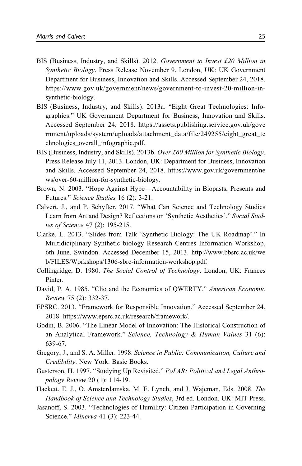- BIS (Business, Industry, and Skills). 2012. Government to Invest £20 Million in Synthetic Biology. Press Release November 9. London, UK: UK Government Department for Business, Innovation and Skills. Accessed September 24, 2018. [https://www.gov.uk/government/news/government-to-invest-20-million-in](https://www.gov.uk/government/news/government-to-invest-20-million-in-synthetic-biology)[synthetic-biology.](https://www.gov.uk/government/news/government-to-invest-20-million-in-synthetic-biology)
- BIS (Business, Industry, and Skills). 2013a. "Eight Great Technologies: Infographics." UK Government Department for Business, Innovation and Skills. Accessed September 24, 2018. [https://assets.publishing.service.gov.uk/gove](https://assets.publishing.service.gov.uk/government/uploads/system/uploads/attachment_data/file/249255/eight_great_technologies_overall_infographic.pdf) [rnment/uploads/system/uploads/attachment\\_data/file/249255/eight\\_great\\_te](https://assets.publishing.service.gov.uk/government/uploads/system/uploads/attachment_data/file/249255/eight_great_technologies_overall_infographic.pdf) [chnologies\\_overall\\_infographic.pdf](https://assets.publishing.service.gov.uk/government/uploads/system/uploads/attachment_data/file/249255/eight_great_technologies_overall_infographic.pdf).
- BIS (Business, Industry, and Skills). 2013b. Over £60 Million for Synthetic Biology. Press Release July 11, 2013. London, UK: Department for Business, Innovation and Skills. Accessed September 24, 2018. [https://www.gov.uk/government/ne](https://www.gov.uk/government/news/over-60-million-for-synthetic-biology) [ws/over-60-million-for-synthetic-biology.](https://www.gov.uk/government/news/over-60-million-for-synthetic-biology)
- Brown, N. 2003. "Hope Against Hype—Accountability in Biopasts, Presents and Futures." Science Studies 16 (2): 3-21.
- Calvert, J., and P. Schyfter. 2017. "What Can Science and Technology Studies Learn from Art and Design? Reflections on 'Synthetic Aesthetics'." Social Studies of Science 47 (2): 195-215.
- Clarke, L. 2013. "Slides from Talk 'Synthetic Biology: The UK Roadmap'." In Multidiciplinary Synthetic biology Research Centres Information Workshop, 6th June, Swindon. Accessed December 15, 2013. [http://www.bbsrc.ac.uk/we](http://www.bbsrc.ac.uk/web/FILES/Workshops/1306-sbrc-information-workshop.pdf) [b/FILES/Workshops/1306-sbrc-information-workshop.pdf](http://www.bbsrc.ac.uk/web/FILES/Workshops/1306-sbrc-information-workshop.pdf).
- Collingridge, D. 1980. The Social Control of Technology. London, UK: Frances Pinter.
- David, P. A. 1985. "Clio and the Economics of QWERTY." American Economic Review 75 (2): 332-37.
- EPSRC. 2013. "Framework for Responsible Innovation." Accessed September 24, 2018.<https://www.epsrc.ac.uk/research/framework/.>
- Godin, B. 2006. "The Linear Model of Innovation: The Historical Construction of an Analytical Framework." Science, Technology & Human Values 31 (6): 639-67.
- Gregory, J., and S. A. Miller. 1998. Science in Public: Communication, Culture and Credibility. New York: Basic Books.
- Gusterson, H. 1997. "Studying Up Revisited." PoLAR: Political and Legal Anthropology Review 20 (1): 114-19.
- Hackett, E. J., O. Amsterdamska, M. E. Lynch, and J. Wajcman, Eds. 2008. The Handbook of Science and Technology Studies, 3rd ed. London, UK: MIT Press.
- Jasanoff, S. 2003. "Technologies of Humility: Citizen Participation in Governing Science." Minerva 41 (3): 223-44.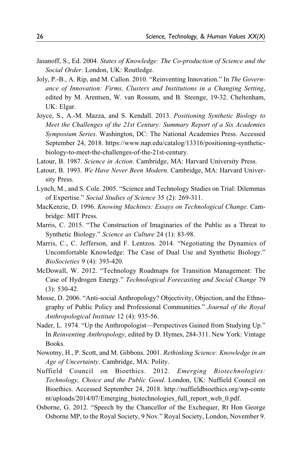- Jasanoff, S., Ed. 2004. States of Knowledge: The Co-production of Science and the Social Order. London, UK: Routledge.
- Joly, P.-B., A. Rip, and M. Callon. 2010. "Reinventing Innovation." In The Governance of Innovation: Firms, Clusters and Institutions in a Changing Setting, edited by M. Arentsen, W. van Rossum, and B. Steenge, 19-32. Cheltenham, UK: Elgar.
- Joyce, S., A.-M. Mazza, and S. Kendall. 2013. Positioning Synthetic Biology to Meet the Challenges of the 21st Century: Summary Report of a Six Academies Symposium Series. Washington, DC: The National Academies Press. Accessed September 24, 2018. [https://www.nap.edu/catalog/13316/positioning-synthetic](https://www.nap.edu/catalog/13316/positioning-synthetic-biology-to-meet-the-challenges-of-the-21st-century)[biology-to-meet-the-challenges-of-the-21st-century.](https://www.nap.edu/catalog/13316/positioning-synthetic-biology-to-meet-the-challenges-of-the-21st-century)
- Latour, B. 1987. Science in Action. Cambridge, MA: Harvard University Press.
- Latour, B. 1993. We Have Never Been Modern. Cambridge, MA: Harvard University Press.
- Lynch, M., and S. Cole. 2005. "Science and Technology Studies on Trial: Dilemmas of Expertise." Social Studies of Science 35 (2): 269-311.
- MacKenzie, D. 1996. Knowing Machines: Essays on Technological Change. Cambridge: MIT Press.
- Marris, C. 2015. "The Construction of Imaginaries of the Public as a Threat to Synthetic Biology." Science as Culture 24 (1): 83-98.
- Marris, C., C. Jefferson, and F. Lentzos. 2014. "Negotiating the Dynamics of Uncomfortable Knowledge: The Case of Dual Use and Synthetic Biology." BioSocieties 9 (4): 393-420.
- McDowall, W. 2012. "Technology Roadmaps for Transition Management: The Case of Hydrogen Energy." Technological Forecasting and Social Change 79 (3): 530-42.
- Mosse, D. 2006. "Anti-social Anthropology? Objectivity, Objection, and the Ethnography of Public Policy and Professional Communities." Journal of the Royal Anthropological Institute 12 (4): 935-56.
- Nader, L. 1974. "Up the Anthropologist—Perspectives Gained from Studying Up." In Reinventing Anthropology, edited by D. Hymes, 284-311. New York: Vintage Books.
- Nowotny, H., P. Scott, and M. Gibbons. 2001. Rethinking Science: Knowledge in an Age of Uncertainty. Cambridge, MA: Polity.
- Nuffield Council on Bioethics. 2012. Emerging Biotechnologies: Technology, Choice and the Public Good. London, UK: Nuffield Council on Bioethics. Accessed September 24, 2018. [http://nuffieldbioethics.org/wp-conte](http://nuffieldbioethics.org/wp-content/uploads/2014/07/Emerging_biotechnologies_full_report_web_0.pdf) [nt/uploads/2014/07/Emerging\\_biotechnologies\\_full\\_report\\_web\\_0.pdf.](http://nuffieldbioethics.org/wp-content/uploads/2014/07/Emerging_biotechnologies_full_report_web_0.pdf)
- Osborne, G. 2012. "Speech by the Chancellor of the Exchequer, Rt Hon George Osborne MP, to the Royal Society, 9 Nov." Royal Society, London, November 9.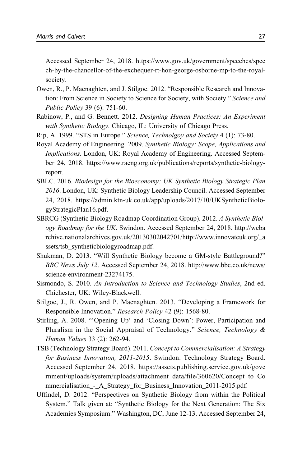Accessed September 24, 2018. [https://www.gov.uk/government/speeches/spee](https://www.gov.uk/government/speeches/speech-by-the-chancellor-of-the-exchequer-rt-hon-george-osborne-mp-to-the-royal-society) [ch-by-the-chancellor-of-the-exchequer-rt-hon-george-osborne-mp-to-the-royal](https://www.gov.uk/government/speeches/speech-by-the-chancellor-of-the-exchequer-rt-hon-george-osborne-mp-to-the-royal-society)[society](https://www.gov.uk/government/speeches/speech-by-the-chancellor-of-the-exchequer-rt-hon-george-osborne-mp-to-the-royal-society).

- Owen, R., P. Macnaghten, and J. Stilgoe. 2012. "Responsible Research and Innovation: From Science in Society to Science for Society, with Society." Science and Public Policy 39 (6): 751-60.
- Rabinow, P., and G. Bennett. 2012. Designing Human Practices: An Experiment with Synthetic Biology. Chicago, IL: University of Chicago Press.
- Rip, A. 1999. "STS in Europe." Science, Technolgoy and Society 4 (1): 73-80.
- Royal Academy of Engineering. 2009. Synthetic Biology: Scope, Applications and Implications. London, UK: Royal Academy of Engineering. Accessed September 24, 2018. [https://www.raeng.org.uk/publications/reports/synthetic-biology](https://www.raeng.org.uk/publications/reports/synthetic-biology-report)[report](https://www.raeng.org.uk/publications/reports/synthetic-biology-report).
- SBLC. 2016. Biodesign for the Bioeconomy: UK Synthetic Biology Strategic Plan 2016. London, UK: Synthetic Biology Leadership Council. Accessed September 24, 2018. https://admin.ktn-uk.co.uk/app/uploads/2017/10/UKSyntheticBiologyStrategicPlan16.pdf.
- SBRCG (Synthetic Biology Roadmap Coordination Group). 2012. A Synthetic Biology Roadmap for the UK. Swindon. Accessed September 24, 2018. [http://weba](http://webarchive.nationalarchives.gov.uk/20130302042701/http://www.innovateuk.org/_assets/tsb_syntheticbiologyroadmap.pdf) [rchive.nationalarchives.gov.uk/20130302042701/http://www.innovateuk.org/\\_a](http://webarchive.nationalarchives.gov.uk/20130302042701/http://www.innovateuk.org/_assets/tsb_syntheticbiologyroadmap.pdf) [ssets/tsb\\_syntheticbiologyroadmap.pdf.](http://webarchive.nationalarchives.gov.uk/20130302042701/http://www.innovateuk.org/_assets/tsb_syntheticbiologyroadmap.pdf)
- Shukman, D. 2013. "Will Synthetic Biology become a GM-style Battleground?" BBC News July 12. Accessed September 24, 2018. [http://www.bbc.co.uk/news/](http://www.bbc.co.uk/news/science-environment-23274175) [science-environment-23274175.](http://www.bbc.co.uk/news/science-environment-23274175)
- Sismondo, S. 2010. An Introduction to Science and Technology Studies, 2nd ed. Chichester, UK: Wiley-Blackwell.
- Stilgoe, J., R. Owen, and P. Macnaghten. 2013. "Developing a Framework for Responsible Innovation." Research Policy 42 (9): 1568-80.
- Stirling, A. 2008. "'Opening Up' and 'Closing Down': Power, Participation and Pluralism in the Social Appraisal of Technology." Science, Technology & Human Values 33 (2): 262-94.
- TSB (Technology Strategy Board). 2011. Concept to Commercialisation: A Strategy for Business Innovation, 2011-2015. Swindon: Technology Strategy Board. Accessed September 24, 2018. [https://assets.publishing.service.gov.uk/gove](https://assets.publishing.service.gov.uk/government/uploads/system/uploads/attachment_data/file/360620/Concept_to_Commercialisation_-_A_Strategy_for_Business_Innovation_2011-2015.pdf) [rnment/uploads/system/uploads/attachment\\_data/file/360620/Concept\\_to\\_Co](https://assets.publishing.service.gov.uk/government/uploads/system/uploads/attachment_data/file/360620/Concept_to_Commercialisation_-_A_Strategy_for_Business_Innovation_2011-2015.pdf) mmercialisation - A Strategy for Business Innovation 2011-2015.pdf.
- Uffindel, D. 2012. "Perspectives on Synthetic Biology from within the Political System." Talk given at: "Synthetic Biology for the Next Generation: The Six Academies Symposium." Washington, DC, June 12-13. Accessed September 24,